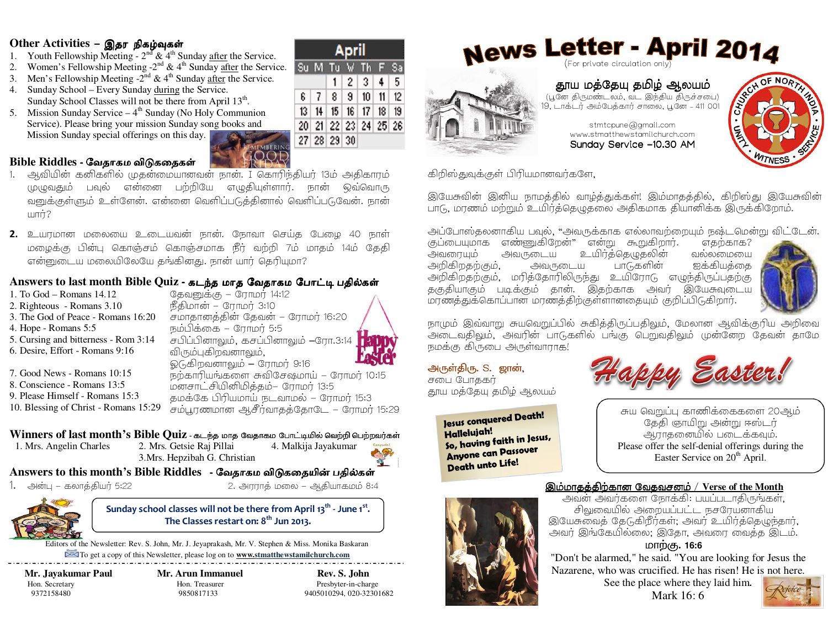### Other Activities - இதர நிகழ்வுகள்

- 1. Youth Fellowship Meeting  $2<sup>nd</sup>$  & 4<sup>th</sup> Sunday after the Service.
- 2. Women's Fellowship Meeting - $2^{nd}$  & 4<sup>th</sup> Sunday after the Service. Su M Tu W Th
- 3. Men's Fellowship Meeting  $-2^{nd} \& 4^{th}$  Sunday after the Service. 4. Sunday School – Every Sunday during the Service.
- Sunday School Classes will not be there from April 13<sup>th</sup>. 5. Mission Sunday Service  $-4<sup>th</sup>$  Sunday (No Holy Communion
- Service). Please bring your mission Sunday song books and Mission Sunday special offerings on this day.



- Bible Riddles வேதாகம விடுகதைகள்
- 1. ஆவியின் கனிகளில் முதன்மையானவன் நான். I கொரிந்தியர் 13ம் அதிகாரம் முழுவதும் பவுல் என்னை பற்றியே எழுதியுள்ளார். நான் ஒவ்வொரு வனுக்குள்ளும் உள்ளேன். என்னை வெளிப்படுத்தினால் வெளிப்படுவேன். நான்
- 2. உயரமான மலையை உடையவன் நான். நோவா செய்த பேழை 40 நாள் மழைக்கு பின்பு கொஞ்சம் கொஞ்சமாக நீர் வற்றி 7ம் மாதம் 14ம் தேதி என்னுடைய மலையிலேயே தங்கினது. நான் யார் தெரியுமா?

## Answers to last month Bible Quiz - கடந்த மாக வேகாகம போட்டி பகில்கள்

| 1. To $God - Romans$ 14.12            | தேவனுக்கு – ரோமர் 14:12                 |
|---------------------------------------|-----------------------------------------|
| 2. Righteous - Romans 3.10            | நீதிமான் – ரோமர் 3:10                   |
| 3. The God of Peace - Romans 16:20    | சமாதானத்தின் தேவன் – ரோமர் 16:20        |
| 4. Hope - Romans 5:5                  | நம்பிக்கை – ரோமர் 5:5                   |
| 5. Cursing and bitterness - Rom 3:14  | சபிப்பினாலும், கசப்பினாலும் –ரோ.3:14    |
| 6. Desire, Effort - Romans 9:16       | விரும்புகிறவனாலும்,                     |
|                                       | ஓடுகிறவனாலும் – ரோமர் 9:16              |
| 7. Good News - Romans 10:15           | நற்காரியங்களை சுவிசேஷமாய் – ரோமர் 10:15 |
| 8. Conscience - Romans 13:5           | மனசாட்சியினிமித்தம்– ரோமர் 13:5         |
| 9. Please Himself - Romans 15:3       | தமக்கே பிரியமாய் நடவாமல் – ரோமர் 15:3   |
| 10. Blessing of Christ - Romans 15:29 | சம்பூரணமான ஆசீர்வாதத்தோடே – ரோமர் 15:29 |
|                                       |                                         |

### Winners of last month's Bible Quiz - கடந்த மாத வேதாகம போட்டியில் வெற்றி பெற்றவர்கள்

1. Mrs. Angelin Charles

2. Mrs. Getsie Raj Pillai 4. Malkija Javakumar 3. Mrs. Hepzibah G. Christian



## Answers to this month's Bible Riddles - வேதாகம விடுகதையின் பதில்கள்

1. அன்பு – கலாத்தியர் 5:22

2. அரராத் மலை – ஆதியாகமம் 8:4

Sunday school classes will not be there from April 13<sup>th</sup> - June 1<sup>st</sup>. The Classes restart on: 8<sup>th</sup> Jun 2013.

Editors of the Newsletter: Rev. S. John, Mr. J. Jeyaprakash, Mr. V. Stephen & Miss. Monika Baskaran To get a copy of this Newsletter, please log on to www.stmatthewstamilchurch.com

Mr. Javakumar Paul Hon. Secretary 9372158480

Mr. Arun Immanuel Hon. Treasurer 9850817133

Rev. S. John Presbyter-in-charge 9405010294.020-32301682

April

6 7 8 9 10 11 12

13 14 15 16 17 18 19

20 21 22 23 24 25 26

27 28 29 30

 $1 \ 2 \ 3 \ 4$ 

5



## News Letter - April 2014 (For private circulation only)

தூய மத்தேயு தமிழ் ஆலயம் (பூனே திருமண்டலம், வட இந்திய திருச்சபை) .<br>19, டாக்டர் அம்பேத்கார் சாலை, பூனே - 411 001

> stmtcpune@gmail.com www.stmatthewstamilchurch.com

Sunday Service -10.30 AM



கிறிஸ்துவுக்குள் பிரியமானவர்களே,

இயேசுவின் இனிய நாமத்தில் வாழ்த்துக்கள்! இம்மாதத்தில், கிறிஸ்து இயேசுவின் பாடு, மரணம் மற்றும் உயிர்த்தெழுதலை அதிகமாக தியானிக்க இருக்கிறோம்.

அப்போஸ்தலனாகிய பவுல், "அவருக்காக எல்லாவற்றையும் நஷ்டமென்று விட்டேன்.

குப்பையுமாக எண்ணுகிறேன்" என்று கூறுகிறார். எகற்காக? அவரையும் அவருடைய உயிர்த்தெழுதலின் வல்லமையை ஐக்கியத்கை அறிகிறதற்கும். அவருடைய பாடுகளின் அறிகிறதற்கும், மரித்தோரிலிருந்து உயிரோடு எழுந்திருப்பதற்கு தகுதியாகும் படிக்கும் தான். இதற்காக அவர் இயேசுவுடைய மரணத்துக்கொப்பான மரணத்திற்குள்ளானதையும் குறிப்பிடுகிறார்.



நாமும் இவ்வாறு சுயவெறுப்பில் சுகித்திருப்பதிலும், மேலான ஆவிக்குரிய அறிவை அடைவதிலும், அவரின் பாடுகளில் பங்கு பெறுவதிலும் முன்னேற தேவன் தாமே நமக்கு கிருபை அருள்வாராக!

## அருள்திரு. S. ஜான்,

சபை போககர் தூய மத்தேயு தமிழ் ஆலயம்

> Jesus conquered Death! Hallelujah! So, having faith in Jesus, **Anyone can Passover** Death unto Life!



சுய வெறுப்பு காணிக்கைகளை 20ஆம் தேதி ஞாயிறு அன்று ஈஸ்டர் ஆராதனையில் படைக்கவும். Please offer the self-denial offerings during the Easter Service on 20<sup>th</sup> April.

#### இம்மாகக்கிற்கான வேகவசனம் / Verse of the Month

அவன் அவர்களை நோக்கி: பயப்படாதிருங்கள், சிலுவையில் அறையப்பட்ட நசரேயனாகிய இயேசுவைத் தேடுகிறீர்கள்; அவர் உயிர்த்தெழுந்தார், அவர் இங்கேயில்லை; இதோ, அவரை வைத்த இடம்.

## மாற்கு. 16:6

"Don't be alarmed," he said. "You are looking for Jesus the Nazarene, who was crucified. He has risen! He is not here. See the place where they laid him.

Mark 16:6